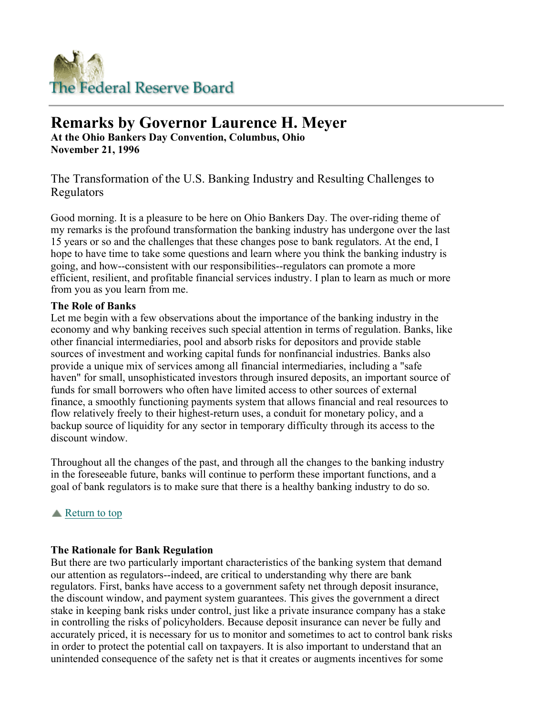

# **Remarks by Governor Laurence H. Meyer**

**At the Ohio Bankers Day Convention, Columbus, Ohio November 21, 1996**

The Transformation of the U.S. Banking Industry and Resulting Challenges to Regulators

Good morning. It is a pleasure to be here on Ohio Bankers Day. The over-riding theme of my remarks is the profound transformation the banking industry has undergone over the last 15 years or so and the challenges that these changes pose to bank regulators. At the end, I hope to have time to take some questions and learn where you think the banking industry is going, and how--consistent with our responsibilities--regulators can promote a more efficient, resilient, and profitable financial services industry. I plan to learn as much or more from you as you learn from me.

## **The Role of Banks**

Let me begin with a few observations about the importance of the banking industry in the economy and why banking receives such special attention in terms of regulation. Banks, like other financial intermediaries, pool and absorb risks for depositors and provide stable sources of investment and working capital funds for nonfinancial industries. Banks also provide a unique mix of services among all financial intermediaries, including a "safe haven" for small, unsophisticated investors through insured deposits, an important source of funds for small borrowers who often have limited access to other sources of external finance, a smoothly functioning payments system that allows financial and real resources to flow relatively freely to their highest-return uses, a conduit for monetary policy, and a backup source of liquidity for any sector in temporary difficulty through its access to the discount window.

Throughout all the changes of the past, and through all the changes to the banking industry in the foreseeable future, banks will continue to perform these important functions, and a goal of bank regulators is to make sure that there is a healthy banking industry to do so.

# Return to top

# **The Rationale for Bank Regulation**

But there are two particularly important characteristics of the banking system that demand our attention as regulators--indeed, are critical to understanding why there are bank regulators. First, banks have access to a government safety net through deposit insurance, the discount window, and payment system guarantees. This gives the government a direct stake in keeping bank risks under control, just like a private insurance company has a stake in controlling the risks of policyholders. Because deposit insurance can never be fully and accurately priced, it is necessary for us to monitor and sometimes to act to control bank risks in order to protect the potential call on taxpayers. It is also important to understand that an unintended consequence of the safety net is that it creates or augments incentives for some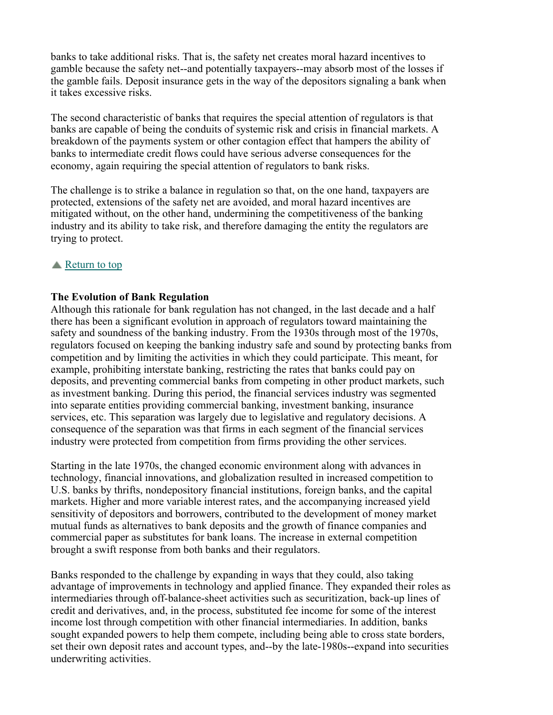banks to take additional risks. That is, the safety net creates moral hazard incentives to gamble because the safety net--and potentially taxpayers--may absorb most of the losses if the gamble fails. Deposit insurance gets in the way of the depositors signaling a bank when it takes excessive risks.

The second characteristic of banks that requires the special attention of regulators is that banks are capable of being the conduits of systemic risk and crisis in financial markets. A breakdown of the payments system or other contagion effect that hampers the ability of banks to intermediate credit flows could have serious adverse consequences for the economy, again requiring the special attention of regulators to bank risks.

The challenge is to strike a balance in regulation so that, on the one hand, taxpayers are protected, extensions of the safety net are avoided, and moral hazard incentives are mitigated without, on the other hand, undermining the competitiveness of the banking industry and its ability to take risk, and therefore damaging the entity the regulators are trying to protect.

## **■** Return to top

## **The Evolution of Bank Regulation**

Although this rationale for bank regulation has not changed, in the last decade and a half there has been a significant evolution in approach of regulators toward maintaining the safety and soundness of the banking industry. From the 1930s through most of the 1970s, regulators focused on keeping the banking industry safe and sound by protecting banks from competition and by limiting the activities in which they could participate. This meant, for example, prohibiting interstate banking, restricting the rates that banks could pay on deposits, and preventing commercial banks from competing in other product markets, such as investment banking. During this period, the financial services industry was segmented into separate entities providing commercial banking, investment banking, insurance services, etc. This separation was largely due to legislative and regulatory decisions. A consequence of the separation was that firms in each segment of the financial services industry were protected from competition from firms providing the other services.

Starting in the late 1970s, the changed economic environment along with advances in technology, financial innovations, and globalization resulted in increased competition to U.S. banks by thrifts, nondepository financial institutions, foreign banks, and the capital markets. Higher and more variable interest rates, and the accompanying increased yield sensitivity of depositors and borrowers, contributed to the development of money market mutual funds as alternatives to bank deposits and the growth of finance companies and commercial paper as substitutes for bank loans. The increase in external competition brought a swift response from both banks and their regulators.

Banks responded to the challenge by expanding in ways that they could, also taking advantage of improvements in technology and applied finance. They expanded their roles as intermediaries through off-balance-sheet activities such as securitization, back-up lines of credit and derivatives, and, in the process, substituted fee income for some of the interest income lost through competition with other financial intermediaries. In addition, banks sought expanded powers to help them compete, including being able to cross state borders, set their own deposit rates and account types, and--by the late-1980s--expand into securities underwriting activities.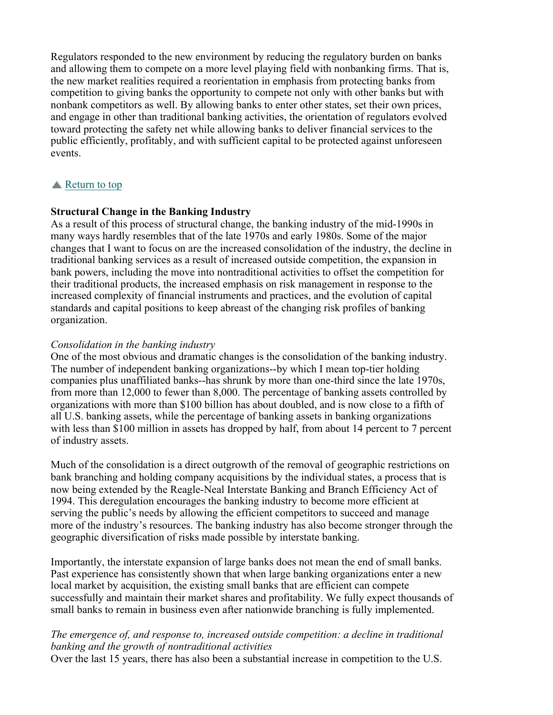Regulators responded to the new environment by reducing the regulatory burden on banks and allowing them to compete on a more level playing field with nonbanking firms. That is, the new market realities required a reorientation in emphasis from protecting banks from competition to giving banks the opportunity to compete not only with other banks but with nonbank competitors as well. By allowing banks to enter other states, set their own prices, and engage in other than traditional banking activities, the orientation of regulators evolved toward protecting the safety net while allowing banks to deliver financial services to the public efficiently, profitably, and with sufficient capital to be protected against unforeseen events.

## Return to top

#### **Structural Change in the Banking Industry**

As a result of this process of structural change, the banking industry of the mid-1990s in many ways hardly resembles that of the late 1970s and early 1980s. Some of the major changes that I want to focus on are the increased consolidation of the industry, the decline in traditional banking services as a result of increased outside competition, the expansion in bank powers, including the move into nontraditional activities to offset the competition for their traditional products, the increased emphasis on risk management in response to the increased complexity of financial instruments and practices, and the evolution of capital standards and capital positions to keep abreast of the changing risk profiles of banking organization.

#### *Consolidation in the banking industry*

One of the most obvious and dramatic changes is the consolidation of the banking industry. The number of independent banking organizations--by which I mean top-tier holding companies plus unaffiliated banks--has shrunk by more than one-third since the late 1970s, from more than 12,000 to fewer than 8,000. The percentage of banking assets controlled by organizations with more than \$100 billion has about doubled, and is now close to a fifth of all U.S. banking assets, while the percentage of banking assets in banking organizations with less than \$100 million in assets has dropped by half, from about 14 percent to 7 percent of industry assets.

Much of the consolidation is a direct outgrowth of the removal of geographic restrictions on bank branching and holding company acquisitions by the individual states, a process that is now being extended by the Reagle-Neal Interstate Banking and Branch Efficiency Act of 1994. This deregulation encourages the banking industry to become more efficient at serving the public's needs by allowing the efficient competitors to succeed and manage more of the industry's resources. The banking industry has also become stronger through the geographic diversification of risks made possible by interstate banking.

Importantly, the interstate expansion of large banks does not mean the end of small banks. Past experience has consistently shown that when large banking organizations enter a new local market by acquisition, the existing small banks that are efficient can compete successfully and maintain their market shares and profitability. We fully expect thousands of small banks to remain in business even after nationwide branching is fully implemented.

## *The emergence of, and response to, increased outside competition: a decline in traditional banking and the growth of nontraditional activities*

Over the last 15 years, there has also been a substantial increase in competition to the U.S.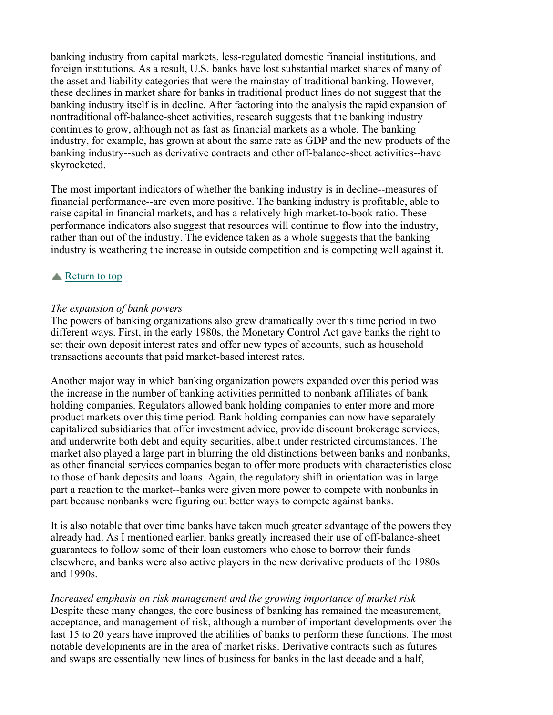banking industry from capital markets, less-regulated domestic financial institutions, and foreign institutions. As a result, U.S. banks have lost substantial market shares of many of the asset and liability categories that were the mainstay of traditional banking. However, these declines in market share for banks in traditional product lines do not suggest that the banking industry itself is in decline. After factoring into the analysis the rapid expansion of nontraditional off-balance-sheet activities, research suggests that the banking industry continues to grow, although not as fast as financial markets as a whole. The banking industry, for example, has grown at about the same rate as GDP and the new products of the banking industry--such as derivative contracts and other off-balance-sheet activities--have skyrocketed.

The most important indicators of whether the banking industry is in decline--measures of financial performance--are even more positive. The banking industry is profitable, able to raise capital in financial markets, and has a relatively high market-to-book ratio. These performance indicators also suggest that resources will continue to flow into the industry, rather than out of the industry. The evidence taken as a whole suggests that the banking industry is weathering the increase in outside competition and is competing well against it.

## **■** Return to top

## *The expansion of bank powers*

The powers of banking organizations also grew dramatically over this time period in two different ways. First, in the early 1980s, the Monetary Control Act gave banks the right to set their own deposit interest rates and offer new types of accounts, such as household transactions accounts that paid market-based interest rates.

Another major way in which banking organization powers expanded over this period was the increase in the number of banking activities permitted to nonbank affiliates of bank holding companies. Regulators allowed bank holding companies to enter more and more product markets over this time period. Bank holding companies can now have separately capitalized subsidiaries that offer investment advice, provide discount brokerage services, and underwrite both debt and equity securities, albeit under restricted circumstances. The market also played a large part in blurring the old distinctions between banks and nonbanks, as other financial services companies began to offer more products with characteristics close to those of bank deposits and loans. Again, the regulatory shift in orientation was in large part a reaction to the market--banks were given more power to compete with nonbanks in part because nonbanks were figuring out better ways to compete against banks.

It is also notable that over time banks have taken much greater advantage of the powers they already had. As I mentioned earlier, banks greatly increased their use of off-balance-sheet guarantees to follow some of their loan customers who chose to borrow their funds elsewhere, and banks were also active players in the new derivative products of the 1980s and 1990s.

*Increased emphasis on risk management and the growing importance of market risk* Despite these many changes, the core business of banking has remained the measurement, acceptance, and management of risk, although a number of important developments over the last 15 to 20 years have improved the abilities of banks to perform these functions. The most notable developments are in the area of market risks. Derivative contracts such as futures and swaps are essentially new lines of business for banks in the last decade and a half,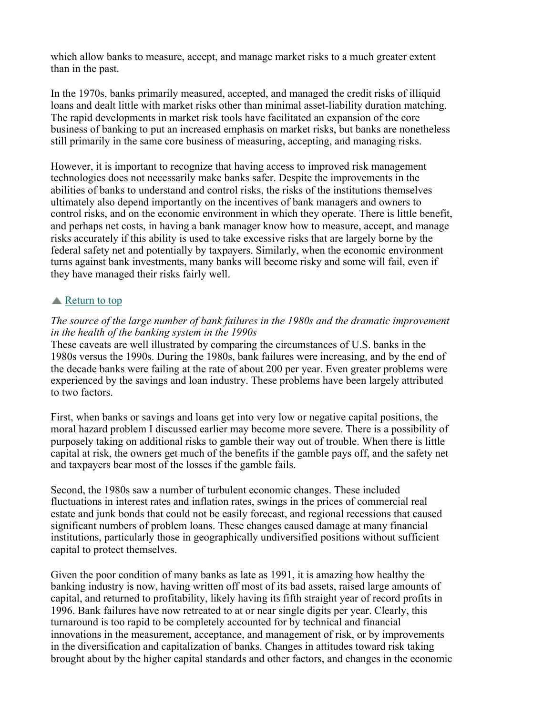which allow banks to measure, accept, and manage market risks to a much greater extent than in the past.

In the 1970s, banks primarily measured, accepted, and managed the credit risks of illiquid loans and dealt little with market risks other than minimal asset-liability duration matching. The rapid developments in market risk tools have facilitated an expansion of the core business of banking to put an increased emphasis on market risks, but banks are nonetheless still primarily in the same core business of measuring, accepting, and managing risks.

However, it is important to recognize that having access to improved risk management technologies does not necessarily make banks safer. Despite the improvements in the abilities of banks to understand and control risks, the risks of the institutions themselves ultimately also depend importantly on the incentives of bank managers and owners to control risks, and on the economic environment in which they operate. There is little benefit, and perhaps net costs, in having a bank manager know how to measure, accept, and manage risks accurately if this ability is used to take excessive risks that are largely borne by the federal safety net and potentially by taxpayers. Similarly, when the economic environment turns against bank investments, many banks will become risky and some will fail, even if they have managed their risks fairly well.

## **■** Return to top

## *The source of the large number of bank failures in the 1980s and the dramatic improvement in the health of the banking system in the 1990s*

These caveats are well illustrated by comparing the circumstances of U.S. banks in the 1980s versus the 1990s. During the 1980s, bank failures were increasing, and by the end of the decade banks were failing at the rate of about 200 per year. Even greater problems were experienced by the savings and loan industry. These problems have been largely attributed to two factors.

First, when banks or savings and loans get into very low or negative capital positions, the moral hazard problem I discussed earlier may become more severe. There is a possibility of purposely taking on additional risks to gamble their way out of trouble. When there is little capital at risk, the owners get much of the benefits if the gamble pays off, and the safety net and taxpayers bear most of the losses if the gamble fails.

Second, the 1980s saw a number of turbulent economic changes. These included fluctuations in interest rates and inflation rates, swings in the prices of commercial real estate and junk bonds that could not be easily forecast, and regional recessions that caused significant numbers of problem loans. These changes caused damage at many financial institutions, particularly those in geographically undiversified positions without sufficient capital to protect themselves.

Given the poor condition of many banks as late as 1991, it is amazing how healthy the banking industry is now, having written off most of its bad assets, raised large amounts of capital, and returned to profitability, likely having its fifth straight year of record profits in 1996. Bank failures have now retreated to at or near single digits per year. Clearly, this turnaround is too rapid to be completely accounted for by technical and financial innovations in the measurement, acceptance, and management of risk, or by improvements in the diversification and capitalization of banks. Changes in attitudes toward risk taking brought about by the higher capital standards and other factors, and changes in the economic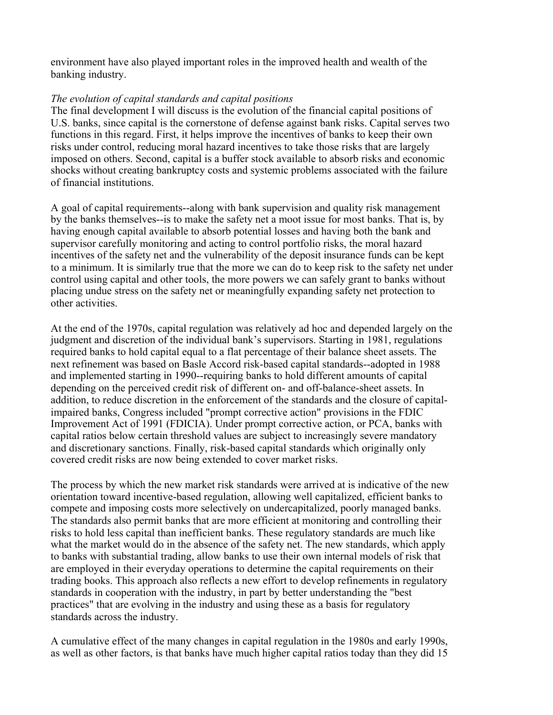environment have also played important roles in the improved health and wealth of the banking industry.

## *The evolution of capital standards and capital positions*

The final development I will discuss is the evolution of the financial capital positions of U.S. banks, since capital is the cornerstone of defense against bank risks. Capital serves two functions in this regard. First, it helps improve the incentives of banks to keep their own risks under control, reducing moral hazard incentives to take those risks that are largely imposed on others. Second, capital is a buffer stock available to absorb risks and economic shocks without creating bankruptcy costs and systemic problems associated with the failure of financial institutions.

A goal of capital requirements--along with bank supervision and quality risk management by the banks themselves--is to make the safety net a moot issue for most banks. That is, by having enough capital available to absorb potential losses and having both the bank and supervisor carefully monitoring and acting to control portfolio risks, the moral hazard incentives of the safety net and the vulnerability of the deposit insurance funds can be kept to a minimum. It is similarly true that the more we can do to keep risk to the safety net under control using capital and other tools, the more powers we can safely grant to banks without placing undue stress on the safety net or meaningfully expanding safety net protection to other activities.

At the end of the 1970s, capital regulation was relatively ad hoc and depended largely on the judgment and discretion of the individual bank's supervisors. Starting in 1981, regulations required banks to hold capital equal to a flat percentage of their balance sheet assets. The next refinement was based on Basle Accord risk-based capital standards--adopted in 1988 and implemented starting in 1990--requiring banks to hold different amounts of capital depending on the perceived credit risk of different on- and off-balance-sheet assets. In addition, to reduce discretion in the enforcement of the standards and the closure of capitalimpaired banks, Congress included "prompt corrective action" provisions in the FDIC Improvement Act of 1991 (FDICIA). Under prompt corrective action, or PCA, banks with capital ratios below certain threshold values are subject to increasingly severe mandatory and discretionary sanctions. Finally, risk-based capital standards which originally only covered credit risks are now being extended to cover market risks.

The process by which the new market risk standards were arrived at is indicative of the new orientation toward incentive-based regulation, allowing well capitalized, efficient banks to compete and imposing costs more selectively on undercapitalized, poorly managed banks. The standards also permit banks that are more efficient at monitoring and controlling their risks to hold less capital than inefficient banks. These regulatory standards are much like what the market would do in the absence of the safety net. The new standards, which apply to banks with substantial trading, allow banks to use their own internal models of risk that are employed in their everyday operations to determine the capital requirements on their trading books. This approach also reflects a new effort to develop refinements in regulatory standards in cooperation with the industry, in part by better understanding the "best practices" that are evolving in the industry and using these as a basis for regulatory standards across the industry.

A cumulative effect of the many changes in capital regulation in the 1980s and early 1990s, as well as other factors, is that banks have much higher capital ratios today than they did 15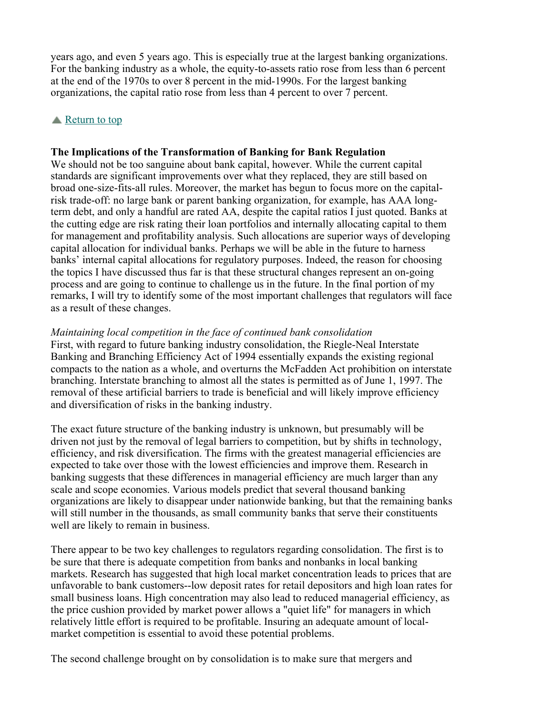years ago, and even 5 years ago. This is especially true at the largest banking organizations. For the banking industry as a whole, the equity-to-assets ratio rose from less than 6 percent at the end of the 1970s to over 8 percent in the mid-1990s. For the largest banking organizations, the capital ratio rose from less than 4 percent to over 7 percent.

## Return to top

#### **The Implications of the Transformation of Banking for Bank Regulation**

We should not be too sanguine about bank capital, however. While the current capital standards are significant improvements over what they replaced, they are still based on broad one-size-fits-all rules. Moreover, the market has begun to focus more on the capitalrisk trade-off: no large bank or parent banking organization, for example, has AAA longterm debt, and only a handful are rated AA, despite the capital ratios I just quoted. Banks at the cutting edge are risk rating their loan portfolios and internally allocating capital to them for management and profitability analysis. Such allocations are superior ways of developing capital allocation for individual banks. Perhaps we will be able in the future to harness banks' internal capital allocations for regulatory purposes. Indeed, the reason for choosing the topics I have discussed thus far is that these structural changes represent an on-going process and are going to continue to challenge us in the future. In the final portion of my remarks, I will try to identify some of the most important challenges that regulators will face as a result of these changes.

#### *Maintaining local competition in the face of continued bank consolidation*

First, with regard to future banking industry consolidation, the Riegle-Neal Interstate Banking and Branching Efficiency Act of 1994 essentially expands the existing regional compacts to the nation as a whole, and overturns the McFadden Act prohibition on interstate branching. Interstate branching to almost all the states is permitted as of June 1, 1997. The removal of these artificial barriers to trade is beneficial and will likely improve efficiency and diversification of risks in the banking industry.

The exact future structure of the banking industry is unknown, but presumably will be driven not just by the removal of legal barriers to competition, but by shifts in technology, efficiency, and risk diversification. The firms with the greatest managerial efficiencies are expected to take over those with the lowest efficiencies and improve them. Research in banking suggests that these differences in managerial efficiency are much larger than any scale and scope economies. Various models predict that several thousand banking organizations are likely to disappear under nationwide banking, but that the remaining banks will still number in the thousands, as small community banks that serve their constituents well are likely to remain in business.

There appear to be two key challenges to regulators regarding consolidation. The first is to be sure that there is adequate competition from banks and nonbanks in local banking markets. Research has suggested that high local market concentration leads to prices that are unfavorable to bank customers--low deposit rates for retail depositors and high loan rates for small business loans. High concentration may also lead to reduced managerial efficiency, as the price cushion provided by market power allows a "quiet life" for managers in which relatively little effort is required to be profitable. Insuring an adequate amount of localmarket competition is essential to avoid these potential problems.

The second challenge brought on by consolidation is to make sure that mergers and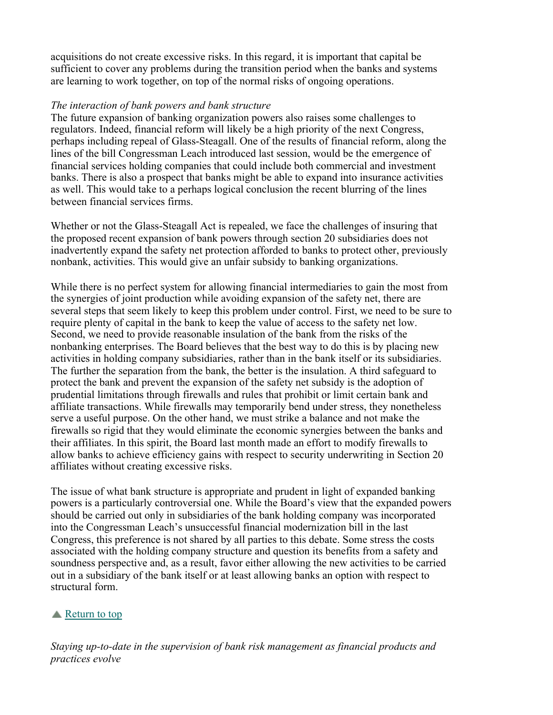acquisitions do not create excessive risks. In this regard, it is important that capital be sufficient to cover any problems during the transition period when the banks and systems are learning to work together, on top of the normal risks of ongoing operations.

## *The interaction of bank powers and bank structure*

The future expansion of banking organization powers also raises some challenges to regulators. Indeed, financial reform will likely be a high priority of the next Congress, perhaps including repeal of Glass-Steagall. One of the results of financial reform, along the lines of the bill Congressman Leach introduced last session, would be the emergence of financial services holding companies that could include both commercial and investment banks. There is also a prospect that banks might be able to expand into insurance activities as well. This would take to a perhaps logical conclusion the recent blurring of the lines between financial services firms.

Whether or not the Glass-Steagall Act is repealed, we face the challenges of insuring that the proposed recent expansion of bank powers through section 20 subsidiaries does not inadvertently expand the safety net protection afforded to banks to protect other, previously nonbank, activities. This would give an unfair subsidy to banking organizations.

While there is no perfect system for allowing financial intermediaries to gain the most from the synergies of joint production while avoiding expansion of the safety net, there are several steps that seem likely to keep this problem under control. First, we need to be sure to require plenty of capital in the bank to keep the value of access to the safety net low. Second, we need to provide reasonable insulation of the bank from the risks of the nonbanking enterprises. The Board believes that the best way to do this is by placing new activities in holding company subsidiaries, rather than in the bank itself or its subsidiaries. The further the separation from the bank, the better is the insulation. A third safeguard to protect the bank and prevent the expansion of the safety net subsidy is the adoption of prudential limitations through firewalls and rules that prohibit or limit certain bank and affiliate transactions. While firewalls may temporarily bend under stress, they nonetheless serve a useful purpose. On the other hand, we must strike a balance and not make the firewalls so rigid that they would eliminate the economic synergies between the banks and their affiliates. In this spirit, the Board last month made an effort to modify firewalls to allow banks to achieve efficiency gains with respect to security underwriting in Section 20 affiliates without creating excessive risks.

The issue of what bank structure is appropriate and prudent in light of expanded banking powers is a particularly controversial one. While the Board's view that the expanded powers should be carried out only in subsidiaries of the bank holding company was incorporated into the Congressman Leach's unsuccessful financial modernization bill in the last Congress, this preference is not shared by all parties to this debate. Some stress the costs associated with the holding company structure and question its benefits from a safety and soundness perspective and, as a result, favor either allowing the new activities to be carried out in a subsidiary of the bank itself or at least allowing banks an option with respect to structural form.

# **■** Return to top

*Staying up-to-date in the supervision of bank risk management as financial products and practices evolve*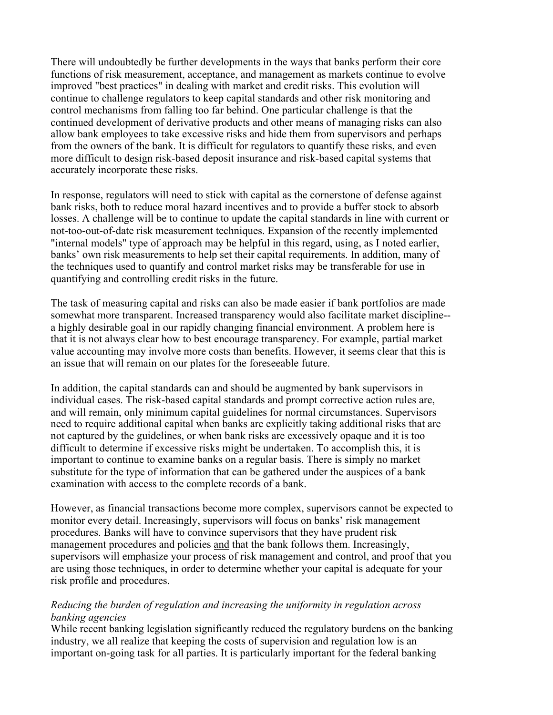There will undoubtedly be further developments in the ways that banks perform their core functions of risk measurement, acceptance, and management as markets continue to evolve improved "best practices" in dealing with market and credit risks. This evolution will continue to challenge regulators to keep capital standards and other risk monitoring and control mechanisms from falling too far behind. One particular challenge is that the continued development of derivative products and other means of managing risks can also allow bank employees to take excessive risks and hide them from supervisors and perhaps from the owners of the bank. It is difficult for regulators to quantify these risks, and even more difficult to design risk-based deposit insurance and risk-based capital systems that accurately incorporate these risks.

In response, regulators will need to stick with capital as the cornerstone of defense against bank risks, both to reduce moral hazard incentives and to provide a buffer stock to absorb losses. A challenge will be to continue to update the capital standards in line with current or not-too-out-of-date risk measurement techniques. Expansion of the recently implemented "internal models" type of approach may be helpful in this regard, using, as I noted earlier, banks' own risk measurements to help set their capital requirements. In addition, many of the techniques used to quantify and control market risks may be transferable for use in quantifying and controlling credit risks in the future.

The task of measuring capital and risks can also be made easier if bank portfolios are made somewhat more transparent. Increased transparency would also facilitate market discipline- a highly desirable goal in our rapidly changing financial environment. A problem here is that it is not always clear how to best encourage transparency. For example, partial market value accounting may involve more costs than benefits. However, it seems clear that this is an issue that will remain on our plates for the foreseeable future.

In addition, the capital standards can and should be augmented by bank supervisors in individual cases. The risk-based capital standards and prompt corrective action rules are, and will remain, only minimum capital guidelines for normal circumstances. Supervisors need to require additional capital when banks are explicitly taking additional risks that are not captured by the guidelines, or when bank risks are excessively opaque and it is too difficult to determine if excessive risks might be undertaken. To accomplish this, it is important to continue to examine banks on a regular basis. There is simply no market substitute for the type of information that can be gathered under the auspices of a bank examination with access to the complete records of a bank.

However, as financial transactions become more complex, supervisors cannot be expected to monitor every detail. Increasingly, supervisors will focus on banks' risk management procedures. Banks will have to convince supervisors that they have prudent risk management procedures and policies and that the bank follows them. Increasingly, supervisors will emphasize your process of risk management and control, and proof that you are using those techniques, in order to determine whether your capital is adequate for your risk profile and procedures.

## *Reducing the burden of regulation and increasing the uniformity in regulation across banking agencies*

While recent banking legislation significantly reduced the regulatory burdens on the banking industry, we all realize that keeping the costs of supervision and regulation low is an important on-going task for all parties. It is particularly important for the federal banking